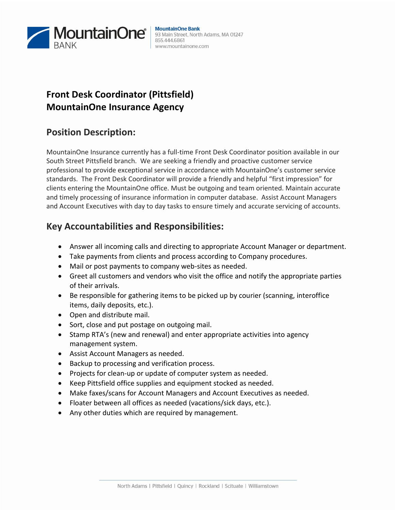

# **Front Desk Coordinator (Pittsfield) MountainOne Insurance Agency**

### **Position Description:**

MountainOne Insurance currently has a full-time Front Desk Coordinator position available in our South Street Pittsfield branch. We are seeking a friendly and proactive customer service professional to provide exceptional service in accordance with MountainOne's customer service standards. The Front Desk Coordinator will provide a friendly and helpful "first impression" for clients entering the MountainOne office. Must be outgoing and team oriented. Maintain accurate and timely processing of insurance information in computer database. Assist Account Managers and Account Executives with day to day tasks to ensure timely and accurate servicing of accounts.

# **Key Accountabilities and Responsibilities:**

- Answer all incoming calls and directing to appropriate Account Manager or department.
- Take payments from clients and process according to Company procedures.
- Mail or post payments to company web-sites as needed.
- Greet all customers and vendors who visit the office and notify the appropriate parties of their arrivals.
- Be responsible for gathering items to be picked up by courier (scanning, interoffice items, daily deposits, etc.).
- Open and distribute mail.
- Sort, close and put postage on outgoing mail.
- Stamp RTA's (new and renewal) and enter appropriate activities into agency management system.
- Assist Account Managers as needed.
- Backup to processing and verification process.
- Projects for clean-up or update of computer system as needed.
- Keep Pittsfield office supplies and equipment stocked as needed.
- Make faxes/scans for Account Managers and Account Executives as needed.
- Floater between all offices as needed (vacations/sick days, etc.).
- Any other duties which are required by management.